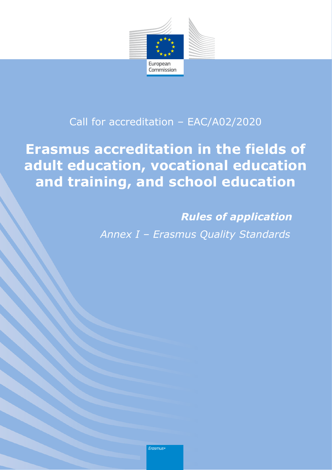

# Call for accreditation – EAC/A02/2020

# **Erasmus accreditation in the fields of adult education, vocational education and training, and school education**

*Annex I – Erasmus Quality Standards Rules of application*

Erasmus+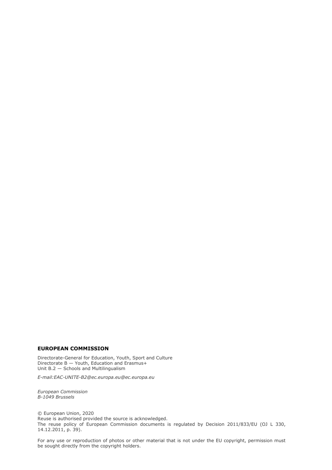#### **EUROPEAN COMMISSION**

Directorate-General for Education, Youth, Sport and Culture Directorate B — Youth, Education and Erasmus+ Unit B.2 — Schools and Multilingualism

*E-mail:EAC-UNITE-B2@ec.europa.eu@ec.europa.eu*

*European Commission B-1049 Brussels*

© European Union, 2020 Reuse is authorised provided the source is acknowledged. The reuse policy of European Commission documents is regulated by Decision 2011/833/EU (OJ L 330, 14.12.2011, p. 39).

For any use or reproduction of photos or other material that is not under the EU copyright, permission must be sought directly from the copyright holders.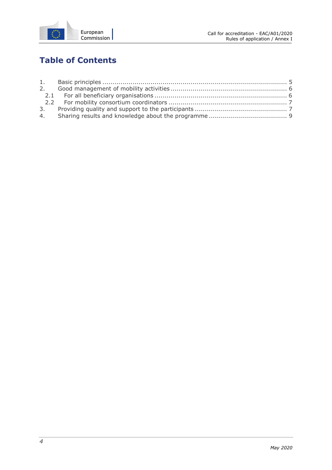

# **Table of Contents**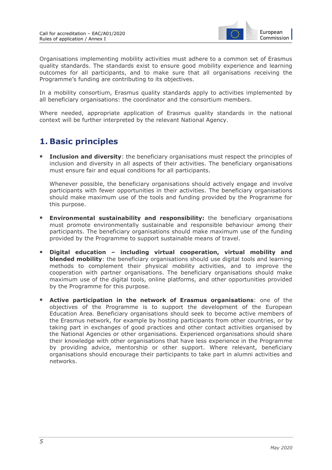

Organisations implementing mobility activities must adhere to a common set of Erasmus quality standards. The standards exist to ensure good mobility experience and learning outcomes for all participants, and to make sure that all organisations receiving the Programme's funding are contributing to its objectives.

In a mobility consortium, Erasmus quality standards apply to activities implemented by all beneficiary organisations: the coordinator and the consortium members.

Where needed, appropriate application of Erasmus quality standards in the national context will be further interpreted by the relevant National Agency.

## <span id="page-4-0"></span>**1. Basic principles**

**Inclusion and diversity**: the beneficiary organisations must respect the principles of inclusion and diversity in all aspects of their activities. The beneficiary organisations must ensure fair and equal conditions for all participants.

Whenever possible, the beneficiary organisations should actively engage and involve participants with fewer opportunities in their activities. The beneficiary organisations should make maximum use of the tools and funding provided by the Programme for this purpose.

- **Environmental sustainability and responsibility:** the beneficiary organisations must promote environmentally sustainable and responsible behaviour among their participants. The beneficiary organisations should make maximum use of the funding provided by the Programme to support sustainable means of travel.
- **Digital education – including virtual cooperation, virtual mobility and blended mobility**: the beneficiary organisations should use digital tools and learning methods to complement their physical mobility activities, and to improve the cooperation with partner organisations. The beneficiary organisations should make maximum use of the digital tools, online platforms, and other opportunities provided by the Programme for this purpose.
- **Active participation in the network of Erasmus organisations**: one of the objectives of the Programme is to support the development of the European Education Area. Beneficiary organisations should seek to become active members of the Erasmus network, for example by hosting participants from other countries, or by taking part in exchanges of good practices and other contact activities organised by the National Agencies or other organisations. Experienced organisations should share their knowledge with other organisations that have less experience in the Programme by providing advice, mentorship or other support. Where relevant, beneficiary organisations should encourage their participants to take part in alumni activities and networks.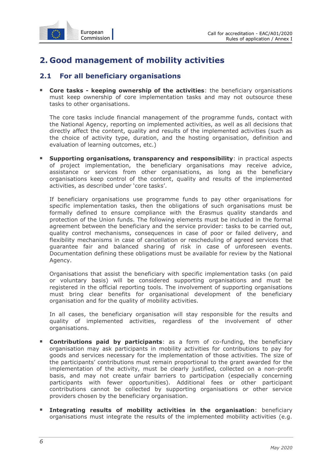

# <span id="page-5-0"></span>**2. Good management of mobility activities**

#### <span id="page-5-1"></span>**2.1 For all beneficiary organisations**

 **Core tasks - keeping ownership of the activities**: the beneficiary organisations must keep ownership of core implementation tasks and may not outsource these tasks to other organisations.

The core tasks include financial management of the programme funds, contact with the National Agency, reporting on implemented activities, as well as all decisions that directly affect the content, quality and results of the implemented activities (such as the choice of activity type, duration, and the hosting organisation, definition and evaluation of learning outcomes, etc.)

 **Supporting organisations, transparency and responsibility**: in practical aspects of project implementation, the beneficiary organisations may receive advice, assistance or services from other organisations, as long as the beneficiary organisations keep control of the content, quality and results of the implemented activities, as described under 'core tasks'.

If beneficiary organisations use programme funds to pay other organisations for specific implementation tasks, then the obligations of such organisations must be formally defined to ensure compliance with the Erasmus quality standards and protection of the Union funds. The following elements must be included in the formal agreement between the beneficiary and the service provider: tasks to be carried out, quality control mechanisms, consequences in case of poor or failed delivery, and flexibility mechanisms in case of cancellation or rescheduling of agreed services that guarantee fair and balanced sharing of risk in case of unforeseen events. Documentation defining these obligations must be available for review by the National Agency.

Organisations that assist the beneficiary with specific implementation tasks (on paid or voluntary basis) will be considered supporting organisations and must be registered in the official reporting tools. The involvement of supporting organisations must bring clear benefits for organisational development of the beneficiary organisation and for the quality of mobility activities.

In all cases, the beneficiary organisation will stay responsible for the results and quality of implemented activities, regardless of the involvement of other organisations.

- **Contributions paid by participants**: as a form of co-funding, the beneficiary organisation may ask participants in mobility activities for contributions to pay for goods and services necessary for the implementation of those activities. The size of the participants' contributions must remain proportional to the grant awarded for the implementation of the activity, must be clearly justified, collected on a non-profit basis, and may not create unfair barriers to participation (especially concerning participants with fewer opportunities). Additional fees or other participant contributions cannot be collected by supporting organisations or other service providers chosen by the beneficiary organisation.
- **Integrating results of mobility activities in the organisation**: beneficiary organisations must integrate the results of the implemented mobility activities (e.g.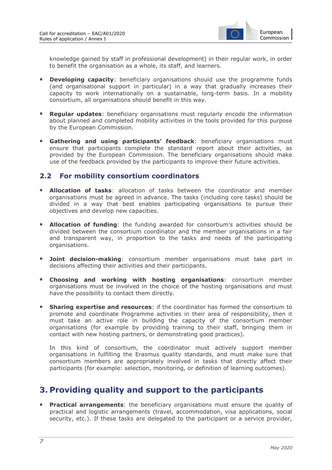

knowledge gained by staff in professional development) in their regular work, in order to benefit the organisation as a whole, its staff, and learners.

- **Developing capacity:** beneficiary organisations should use the programme funds (and organisational support in particular) in a way that gradually increases their capacity to work internationally on a sustainable, long-term basis. In a mobility consortium, all organisations should benefit in this way.
- **Regular updates**: beneficiary organisations must regularly encode the information about planned and completed mobility activities in the tools provided for this purpose by the European Commission.
- **Gathering and using participants' feedback**: beneficiary organisations must ensure that participants complete the standard report about their activities, as provided by the European Commission. The beneficiary organisations should make use of the feedback provided by the participants to improve their future activities.

#### <span id="page-6-0"></span>**2.2 For mobility consortium coordinators**

- **Allocation of tasks**: allocation of tasks between the coordinator and member organisations must be agreed in advance. The tasks (including core tasks) should be divided in a way that best enables participating organisations to pursue their objectives and develop new capacities.
- **Allocation of funding**: the funding awarded for consortium's activities should be divided between the consortium coordinator and the member organisations in a fair and transparent way, in proportion to the tasks and needs of the participating organisations.
- **Joint decision-making**: consortium member organisations must take part in decisions affecting their activities and their participants.
- **Choosing and working with hosting organisations**: consortium member organisations must be involved in the choice of the hosting organisations and must have the possibility to contact them directly.
- **Sharing expertise and resources**: if the coordinator has formed the consortium to promote and coordinate Programme activities in their area of responsibility, then it must take an active role in building the capacity of the consortium member organisations (for example by providing training to their staff, bringing them in contact with new hosting partners, or demonstrating good practices).

In this kind of consortium, the coordinator must actively support member organisations in fulfilling the Erasmus quality standards, and must make sure that consortium members are appropriately involved in tasks that directly affect their participants (for example: selection, monitoring, or definition of learning outcomes).

### <span id="page-6-1"></span>**3. Providing quality and support to the participants**

 **Practical arrangements**: the beneficiary organisations must ensure the quality of practical and logistic arrangements (travel, accommodation, visa applications, social security, etc.). If these tasks are delegated to the participant or a service provider,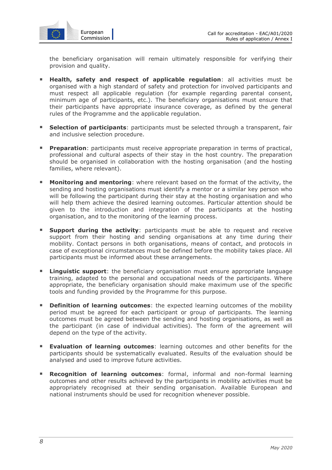

the beneficiary organisation will remain ultimately responsible for verifying their provision and quality.

- **Health, safety and respect of applicable regulation**: all activities must be organised with a high standard of safety and protection for involved participants and must respect all applicable regulation (for example regarding parental consent, minimum age of participants, etc.). The beneficiary organisations must ensure that their participants have appropriate insurance coverage, as defined by the general rules of the Programme and the applicable regulation.
- **Selection of participants**: participants must be selected through a transparent, fair and inclusive selection procedure.
- **Preparation**: participants must receive appropriate preparation in terms of practical, professional and cultural aspects of their stay in the host country. The preparation should be organised in collaboration with the hosting organisation (and the hosting families, where relevant).
- **Monitoring and mentoring**: where relevant based on the format of the activity, the sending and hosting organisations must identify a mentor or a similar key person who will be following the participant during their stay at the hosting organisation and who will help them achieve the desired learning outcomes. Particular attention should be given to the introduction and integration of the participants at the hosting organisation, and to the monitoring of the learning process.
- **Support during the activity**: participants must be able to request and receive support from their hosting and sending organisations at any time during their mobility. Contact persons in both organisations, means of contact, and protocols in case of exceptional circumstances must be defined before the mobility takes place. All participants must be informed about these arrangements.
- **Linguistic support**: the beneficiary organisation must ensure appropriate language training, adapted to the personal and occupational needs of the participants. Where appropriate, the beneficiary organisation should make maximum use of the specific tools and funding provided by the Programme for this purpose.
- **Definition of learning outcomes:** the expected learning outcomes of the mobility period must be agreed for each participant or group of participants. The learning outcomes must be agreed between the sending and hosting organisations, as well as the participant (in case of individual activities). The form of the agreement will depend on the type of the activity.
- **Evaluation of learning outcomes**: learning outcomes and other benefits for the participants should be systematically evaluated. Results of the evaluation should be analysed and used to improve future activities.
- **Recognition of learning outcomes**: formal, informal and non-formal learning outcomes and other results achieved by the participants in mobility activities must be appropriately recognised at their sending organisation. Available European and national instruments should be used for recognition whenever possible.